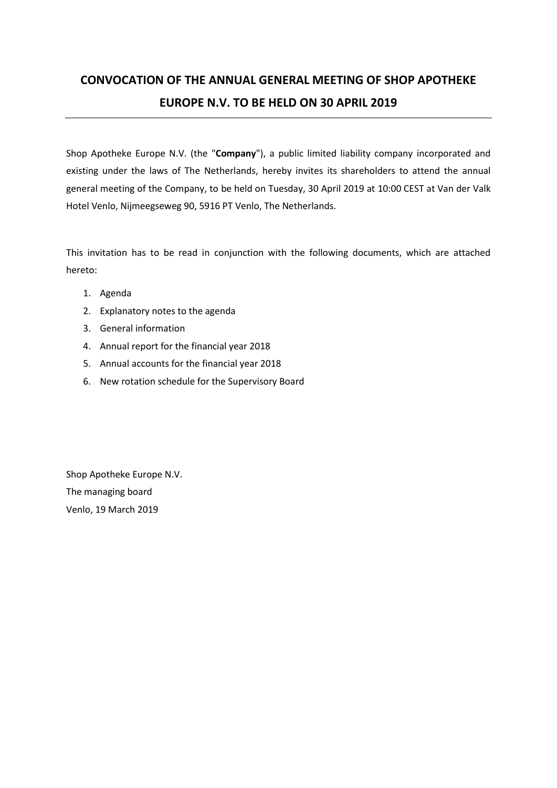# **CONVOCATION OF THE ANNUAL GENERAL MEETING OF SHOP APOTHEKE EUROPE N.V. TO BE HELD ON 30 APRIL 2019**

Shop Apotheke Europe N.V. (the "**Company**"), a public limited liability company incorporated and existing under the laws of The Netherlands, hereby invites its shareholders to attend the annual general meeting of the Company, to be held on Tuesday, 30 April 2019 at 10:00 CEST at Van der Valk Hotel Venlo, Nijmeegseweg 90, 5916 PT Venlo, The Netherlands.

This invitation has to be read in conjunction with the following documents, which are attached hereto:

- 1. Agenda
- 2. Explanatory notes to the agenda
- 3. General information
- 4. Annual report for the financial year 2018
- 5. Annual accounts for the financial year 2018
- 6. New rotation schedule for the Supervisory Board

Shop Apotheke Europe N.V. The managing board Venlo, 19 March 2019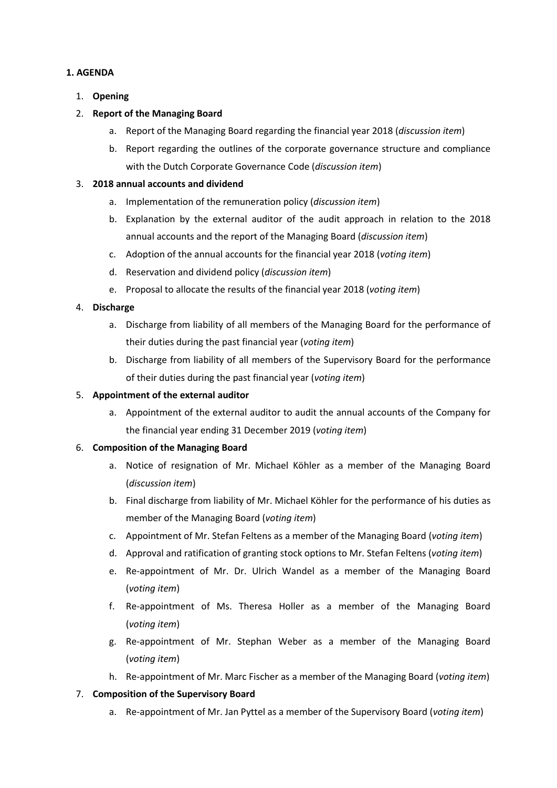### **1. AGENDA**

### 1. **Opening**

### 2. **Report of the Managing Board**

- a. Report of the Managing Board regarding the financial year 2018 (*discussion item*)
- b. Report regarding the outlines of the corporate governance structure and compliance with the Dutch Corporate Governance Code (*discussion item*)

### 3. **2018 annual accounts and dividend**

- a. Implementation of the remuneration policy (*discussion item*)
- b. Explanation by the external auditor of the audit approach in relation to the 2018 annual accounts and the report of the Managing Board (*discussion item*)
- c. Adoption of the annual accounts for the financial year 2018 (*voting item*)
- d. Reservation and dividend policy (*discussion item*)
- e. Proposal to allocate the results of the financial year 2018 (*voting item*)

### 4. **Discharge**

- a. Discharge from liability of all members of the Managing Board for the performance of their duties during the past financial year (*voting item*)
- b. Discharge from liability of all members of the Supervisory Board for the performance of their duties during the past financial year (*voting item*)

### 5. **Appointment of the external auditor**

a. Appointment of the external auditor to audit the annual accounts of the Company for the financial year ending 31 December 2019 (*voting item*)

### 6. **Composition of the Managing Board**

- a. Notice of resignation of Mr. Michael Köhler as a member of the Managing Board (*discussion item*)
- b. Final discharge from liability of Mr. Michael Köhler for the performance of his duties as member of the Managing Board (*voting item*)
- c. Appointment of Mr. Stefan Feltens as a member of the Managing Board (*voting item*)
- d. Approval and ratification of granting stock options to Mr. Stefan Feltens (*voting item*)
- e. Re-appointment of Mr. Dr. Ulrich Wandel as a member of the Managing Board (*voting item*)
- f. Re-appointment of Ms. Theresa Holler as a member of the Managing Board (*voting item*)
- g. Re-appointment of Mr. Stephan Weber as a member of the Managing Board (*voting item*)
- h. Re-appointment of Mr. Marc Fischer as a member of the Managing Board (*voting item*)

### 7. **Composition of the Supervisory Board**

a. Re-appointment of Mr. Jan Pyttel as a member of the Supervisory Board (*voting item*)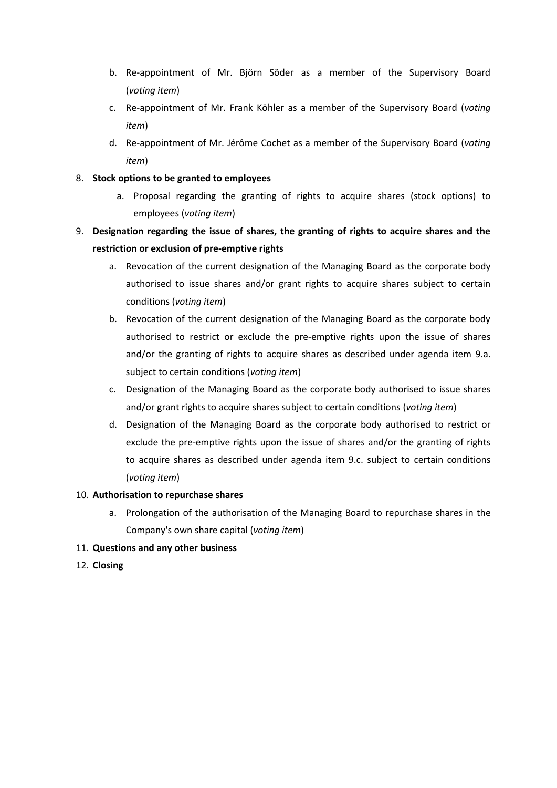- b. Re-appointment of Mr. Björn Söder as a member of the Supervisory Board (*voting item*)
- c. Re-appointment of Mr. Frank Köhler as a member of the Supervisory Board (*voting item*)
- d. Re-appointment of Mr. Jérôme Cochet as a member of the Supervisory Board (*voting item*)

### 8. **Stock options to be granted to employees**

- a. Proposal regarding the granting of rights to acquire shares (stock options) to employees (*voting item*)
- 9. **Designation regarding the issue of shares, the granting of rights to acquire shares and the restriction or exclusion of pre-emptive rights**
	- a. Revocation of the current designation of the Managing Board as the corporate body authorised to issue shares and/or grant rights to acquire shares subject to certain conditions (*voting item*)
	- b. Revocation of the current designation of the Managing Board as the corporate body authorised to restrict or exclude the pre-emptive rights upon the issue of shares and/or the granting of rights to acquire shares as described under agenda item 9.a. subject to certain conditions (*voting item*)
	- c. Designation of the Managing Board as the corporate body authorised to issue shares and/or grant rights to acquire shares subject to certain conditions (*voting item*)
	- d. Designation of the Managing Board as the corporate body authorised to restrict or exclude the pre-emptive rights upon the issue of shares and/or the granting of rights to acquire shares as described under agenda item 9.c. subject to certain conditions (*voting item*)

### 10. **Authorisation to repurchase shares**

a. Prolongation of the authorisation of the Managing Board to repurchase shares in the Company's own share capital (*voting item*)

### 11. **Questions and any other business**

12. **Closing**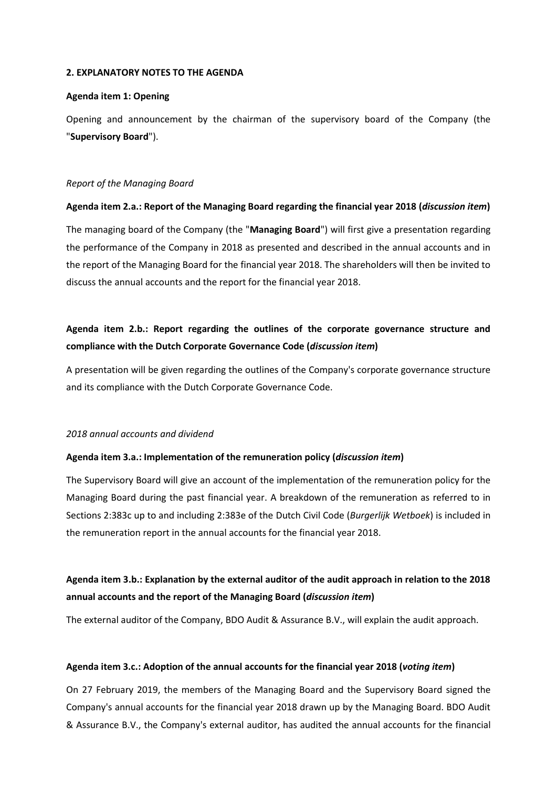#### **2. EXPLANATORY NOTES TO THE AGENDA**

#### **Agenda item 1: Opening**

Opening and announcement by the chairman of the supervisory board of the Company (the "**Supervisory Board**").

### *Report of the Managing Board*

### **Agenda item 2.a.: Report of the Managing Board regarding the financial year 2018 (***discussion item***)**

The managing board of the Company (the "**Managing Board**") will first give a presentation regarding the performance of the Company in 2018 as presented and described in the annual accounts and in the report of the Managing Board for the financial year 2018. The shareholders will then be invited to discuss the annual accounts and the report for the financial year 2018.

## **Agenda item 2.b.: Report regarding the outlines of the corporate governance structure and compliance with the Dutch Corporate Governance Code (***discussion item***)**

A presentation will be given regarding the outlines of the Company's corporate governance structure and its compliance with the Dutch Corporate Governance Code.

### *2018 annual accounts and dividend*

### **Agenda item 3.a.: Implementation of the remuneration policy (***discussion item***)**

The Supervisory Board will give an account of the implementation of the remuneration policy for the Managing Board during the past financial year. A breakdown of the remuneration as referred to in Sections 2:383c up to and including 2:383e of the Dutch Civil Code (*Burgerlijk Wetboek*) is included in the remuneration report in the annual accounts for the financial year 2018.

## **Agenda item 3.b.: Explanation by the external auditor of the audit approach in relation to the 2018 annual accounts and the report of the Managing Board (***discussion item***)**

The external auditor of the Company, BDO Audit & Assurance B.V., will explain the audit approach.

### **Agenda item 3.c.: Adoption of the annual accounts for the financial year 2018 (***voting item***)**

On 27 February 2019, the members of the Managing Board and the Supervisory Board signed the Company's annual accounts for the financial year 2018 drawn up by the Managing Board. BDO Audit & Assurance B.V., the Company's external auditor, has audited the annual accounts for the financial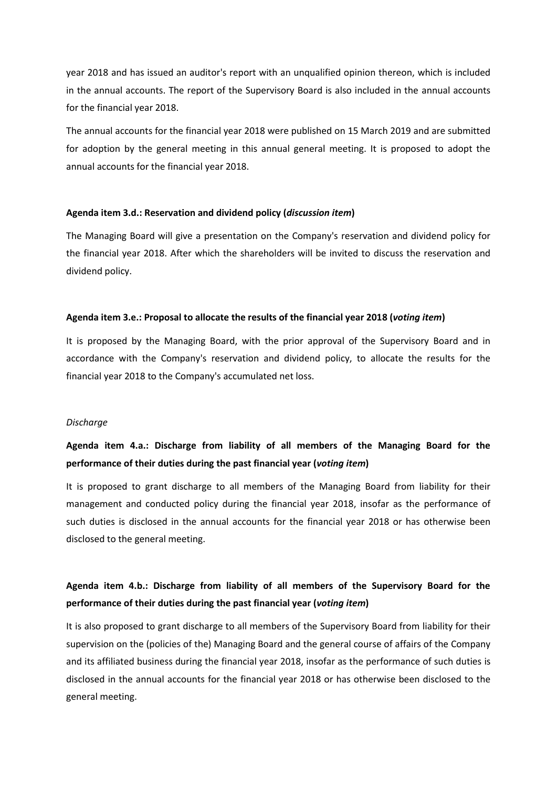year 2018 and has issued an auditor's report with an unqualified opinion thereon, which is included in the annual accounts. The report of the Supervisory Board is also included in the annual accounts for the financial year 2018.

The annual accounts for the financial year 2018 were published on 15 March 2019 and are submitted for adoption by the general meeting in this annual general meeting. It is proposed to adopt the annual accounts for the financial year 2018.

#### **Agenda item 3.d.: Reservation and dividend policy (***discussion item***)**

The Managing Board will give a presentation on the Company's reservation and dividend policy for the financial year 2018. After which the shareholders will be invited to discuss the reservation and dividend policy.

#### **Agenda item 3.e.: Proposal to allocate the results of the financial year 2018 (***voting item***)**

It is proposed by the Managing Board, with the prior approval of the Supervisory Board and in accordance with the Company's reservation and dividend policy, to allocate the results for the financial year 2018 to the Company's accumulated net loss.

#### *Discharge*

## **Agenda item 4.a.: Discharge from liability of all members of the Managing Board for the performance of their duties during the past financial year (***voting item***)**

It is proposed to grant discharge to all members of the Managing Board from liability for their management and conducted policy during the financial year 2018, insofar as the performance of such duties is disclosed in the annual accounts for the financial year 2018 or has otherwise been disclosed to the general meeting.

## **Agenda item 4.b.: Discharge from liability of all members of the Supervisory Board for the performance of their duties during the past financial year (***voting item***)**

It is also proposed to grant discharge to all members of the Supervisory Board from liability for their supervision on the (policies of the) Managing Board and the general course of affairs of the Company and its affiliated business during the financial year 2018, insofar as the performance of such duties is disclosed in the annual accounts for the financial year 2018 or has otherwise been disclosed to the general meeting.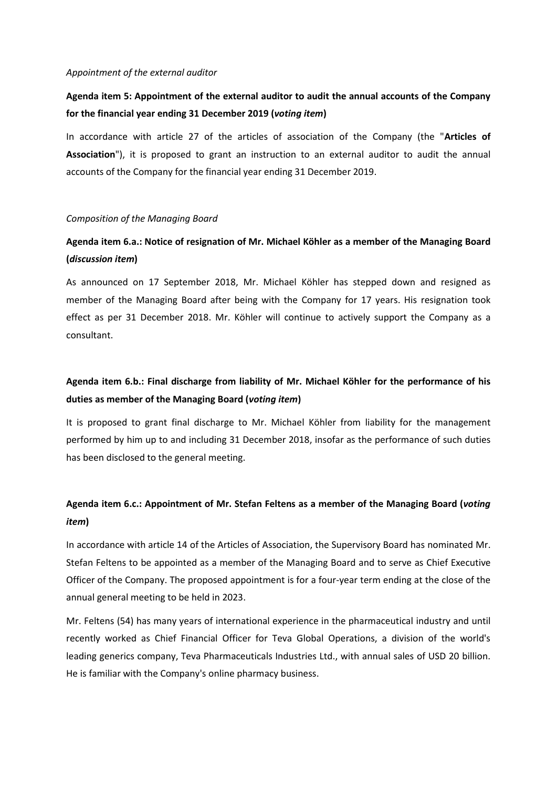#### *Appointment of the external auditor*

### **Agenda item 5: Appointment of the external auditor to audit the annual accounts of the Company for the financial year ending 31 December 2019 (***voting item***)**

In accordance with article 27 of the articles of association of the Company (the "**Articles of Association**"), it is proposed to grant an instruction to an external auditor to audit the annual accounts of the Company for the financial year ending 31 December 2019.

#### *Composition of the Managing Board*

## **Agenda item 6.a.: Notice of resignation of Mr. Michael Köhler as a member of the Managing Board (***discussion item***)**

As announced on 17 September 2018, Mr. Michael Köhler has stepped down and resigned as member of the Managing Board after being with the Company for 17 years. His resignation took effect as per 31 December 2018. Mr. Köhler will continue to actively support the Company as a consultant.

## **Agenda item 6.b.: Final discharge from liability of Mr. Michael Köhler for the performance of his duties as member of the Managing Board (***voting item***)**

It is proposed to grant final discharge to Mr. Michael Köhler from liability for the management performed by him up to and including 31 December 2018, insofar as the performance of such duties has been disclosed to the general meeting.

## **Agenda item 6.c.: Appointment of Mr. Stefan Feltens as a member of the Managing Board (***voting item***)**

In accordance with article 14 of the Articles of Association, the Supervisory Board has nominated Mr. Stefan Feltens to be appointed as a member of the Managing Board and to serve as Chief Executive Officer of the Company. The proposed appointment is for a four-year term ending at the close of the annual general meeting to be held in 2023.

Mr. Feltens (54) has many years of international experience in the pharmaceutical industry and until recently worked as Chief Financial Officer for Teva Global Operations, a division of the world's leading generics company, Teva Pharmaceuticals Industries Ltd., with annual sales of USD 20 billion. He is familiar with the Company's online pharmacy business.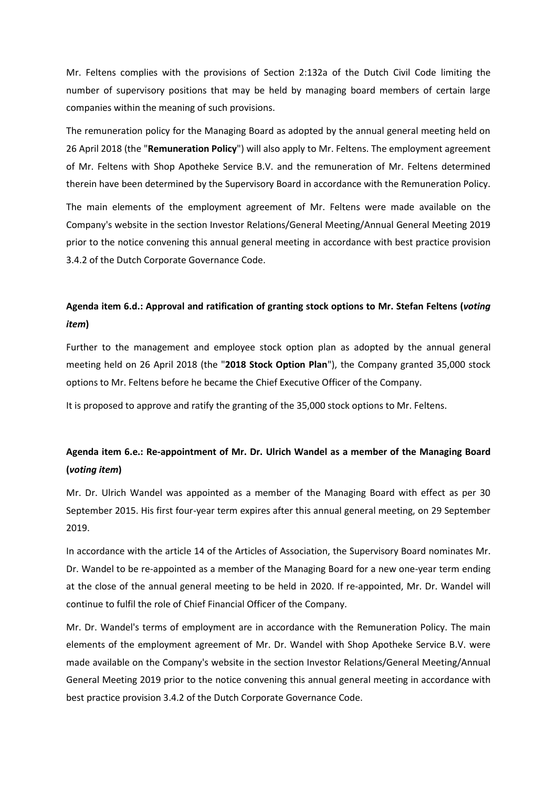Mr. Feltens complies with the provisions of Section 2:132a of the Dutch Civil Code limiting the number of supervisory positions that may be held by managing board members of certain large companies within the meaning of such provisions.

The remuneration policy for the Managing Board as adopted by the annual general meeting held on 26 April 2018 (the "**Remuneration Policy**") will also apply to Mr. Feltens. The employment agreement of Mr. Feltens with Shop Apotheke Service B.V. and the remuneration of Mr. Feltens determined therein have been determined by the Supervisory Board in accordance with the Remuneration Policy.

The main elements of the employment agreement of Mr. Feltens were made available on the Company's website in the section Investor Relations/General Meeting/Annual General Meeting 2019 prior to the notice convening this annual general meeting in accordance with best practice provision 3.4.2 of the Dutch Corporate Governance Code.

## **Agenda item 6.d.: Approval and ratification of granting stock options to Mr. Stefan Feltens (***voting item***)**

Further to the management and employee stock option plan as adopted by the annual general meeting held on 26 April 2018 (the "**2018 Stock Option Plan**"), the Company granted 35,000 stock options to Mr. Feltens before he became the Chief Executive Officer of the Company.

It is proposed to approve and ratify the granting of the 35,000 stock options to Mr. Feltens.

## **Agenda item 6.e.: Re-appointment of Mr. Dr. Ulrich Wandel as a member of the Managing Board (***voting item***)**

Mr. Dr. Ulrich Wandel was appointed as a member of the Managing Board with effect as per 30 September 2015. His first four-year term expires after this annual general meeting, on 29 September 2019.

In accordance with the article 14 of the Articles of Association, the Supervisory Board nominates Mr. Dr. Wandel to be re-appointed as a member of the Managing Board for a new one-year term ending at the close of the annual general meeting to be held in 2020. If re-appointed, Mr. Dr. Wandel will continue to fulfil the role of Chief Financial Officer of the Company.

Mr. Dr. Wandel's terms of employment are in accordance with the Remuneration Policy. The main elements of the employment agreement of Mr. Dr. Wandel with Shop Apotheke Service B.V. were made available on the Company's website in the section Investor Relations/General Meeting/Annual General Meeting 2019 prior to the notice convening this annual general meeting in accordance with best practice provision 3.4.2 of the Dutch Corporate Governance Code.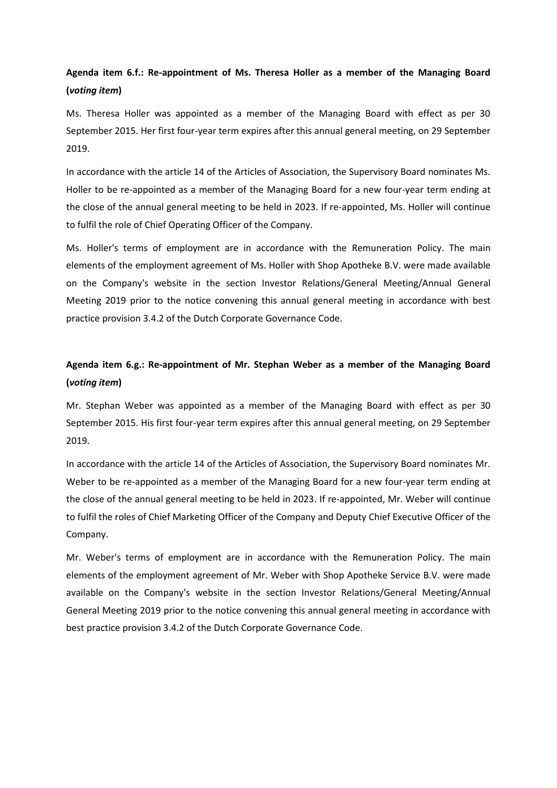## **Agenda item 6.f.: Re-appointment of Ms. Theresa Holler as a member of the Managing Board (***voting item***)**

Ms. Theresa Holler was appointed as a member of the Managing Board with effect as per 30 September 2015. Her first four-year term expires after this annual general meeting, on 29 September 2019.

In accordance with the article 14 of the Articles of Association, the Supervisory Board nominates Ms. Holler to be re-appointed as a member of the Managing Board for a new four-year term ending at the close of the annual general meeting to be held in 2023. If re-appointed, Ms. Holler will continue to fulfil the role of Chief Operating Officer of the Company.

Ms. Holler's terms of employment are in accordance with the Remuneration Policy. The main elements of the employment agreement of Ms. Holler with Shop Apotheke B.V. were made available on the Company's website in the section Investor Relations/General Meeting/Annual General Meeting 2019 prior to the notice convening this annual general meeting in accordance with best practice provision 3.4.2 of the Dutch Corporate Governance Code.

## **Agenda item 6.g.: Re-appointment of Mr. Stephan Weber as a member of the Managing Board (***voting item***)**

Mr. Stephan Weber was appointed as a member of the Managing Board with effect as per 30 September 2015. His first four-year term expires after this annual general meeting, on 29 September 2019.

In accordance with the article 14 of the Articles of Association, the Supervisory Board nominates Mr. Weber to be re-appointed as a member of the Managing Board for a new four-year term ending at the close of the annual general meeting to be held in 2023. If re-appointed, Mr. Weber will continue to fulfil the roles of Chief Marketing Officer of the Company and Deputy Chief Executive Officer of the Company.

Mr. Weber's terms of employment are in accordance with the Remuneration Policy. The main elements of the employment agreement of Mr. Weber with Shop Apotheke Service B.V. were made available on the Company's website in the section Investor Relations/General Meeting/Annual General Meeting 2019 prior to the notice convening this annual general meeting in accordance with best practice provision 3.4.2 of the Dutch Corporate Governance Code.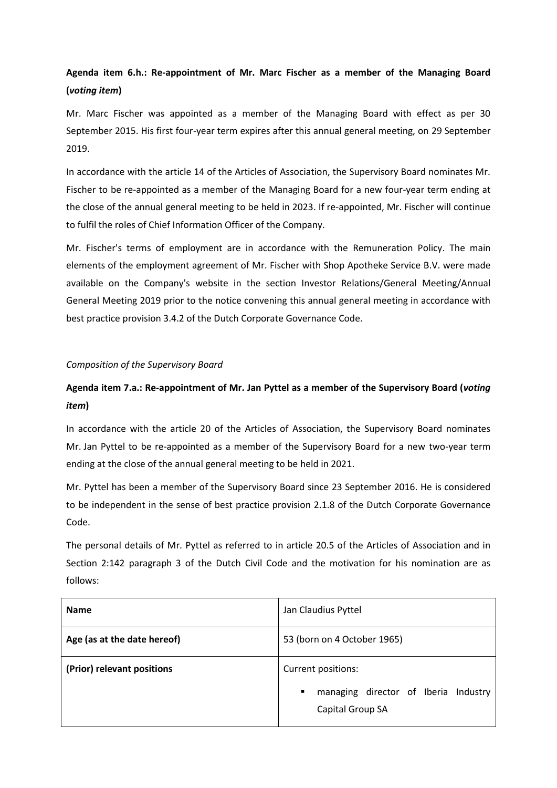## **Agenda item 6.h.: Re-appointment of Mr. Marc Fischer as a member of the Managing Board (***voting item***)**

Mr. Marc Fischer was appointed as a member of the Managing Board with effect as per 30 September 2015. His first four-year term expires after this annual general meeting, on 29 September 2019.

In accordance with the article 14 of the Articles of Association, the Supervisory Board nominates Mr. Fischer to be re-appointed as a member of the Managing Board for a new four-year term ending at the close of the annual general meeting to be held in 2023. If re-appointed, Mr. Fischer will continue to fulfil the roles of Chief Information Officer of the Company.

Mr. Fischer's terms of employment are in accordance with the Remuneration Policy. The main elements of the employment agreement of Mr. Fischer with Shop Apotheke Service B.V. were made available on the Company's website in the section Investor Relations/General Meeting/Annual General Meeting 2019 prior to the notice convening this annual general meeting in accordance with best practice provision 3.4.2 of the Dutch Corporate Governance Code.

### *Composition of the Supervisory Board*

## **Agenda item 7.a.: Re-appointment of Mr. Jan Pyttel as a member of the Supervisory Board (***voting item***)**

In accordance with the article 20 of the Articles of Association, the Supervisory Board nominates Mr. Jan Pyttel to be re-appointed as a member of the Supervisory Board for a new two-year term ending at the close of the annual general meeting to be held in 2021.

Mr. Pyttel has been a member of the Supervisory Board since 23 September 2016. He is considered to be independent in the sense of best practice provision 2.1.8 of the Dutch Corporate Governance Code.

The personal details of Mr. Pyttel as referred to in article 20.5 of the Articles of Association and in Section 2:142 paragraph 3 of the Dutch Civil Code and the motivation for his nomination are as follows:

| <b>Name</b>                 | Jan Claudius Pyttel                                           |
|-----------------------------|---------------------------------------------------------------|
| Age (as at the date hereof) | 53 (born on 4 October 1965)                                   |
| (Prior) relevant positions  | Current positions:                                            |
|                             | managing director of Iberia Industry<br>٠<br>Capital Group SA |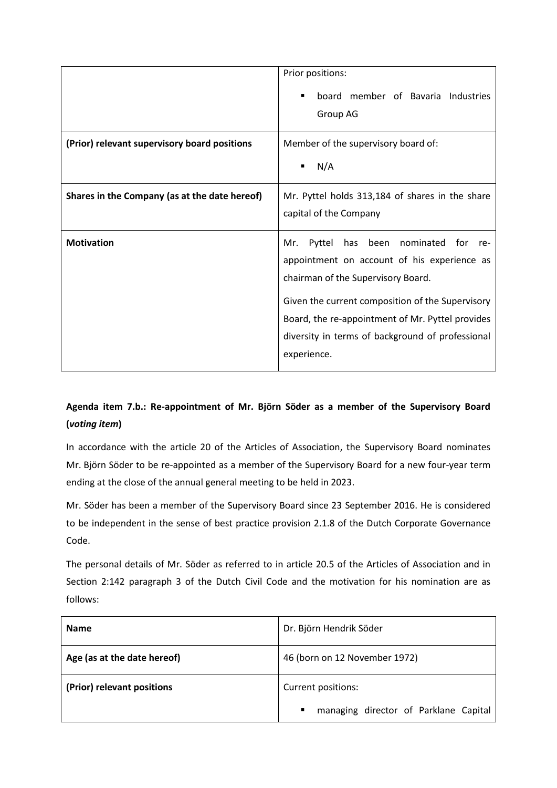|                                               | Prior positions:                                                                                                                                                                                                                                                                                               |
|-----------------------------------------------|----------------------------------------------------------------------------------------------------------------------------------------------------------------------------------------------------------------------------------------------------------------------------------------------------------------|
|                                               | board member of Bavaria Industries<br>Group AG                                                                                                                                                                                                                                                                 |
| (Prior) relevant supervisory board positions  | Member of the supervisory board of:                                                                                                                                                                                                                                                                            |
|                                               | N/A<br>٠                                                                                                                                                                                                                                                                                                       |
| Shares in the Company (as at the date hereof) | Mr. Pyttel holds 313,184 of shares in the share<br>capital of the Company                                                                                                                                                                                                                                      |
| <b>Motivation</b>                             | been nominated for re-<br>Mr.<br>Pyttel<br>has<br>appointment on account of his experience as<br>chairman of the Supervisory Board.<br>Given the current composition of the Supervisory<br>Board, the re-appointment of Mr. Pyttel provides<br>diversity in terms of background of professional<br>experience. |

## **Agenda item 7.b.: Re-appointment of Mr. Björn Söder as a member of the Supervisory Board (***voting item***)**

In accordance with the article 20 of the Articles of Association, the Supervisory Board nominates Mr. Björn Söder to be re-appointed as a member of the Supervisory Board for a new four-year term ending at the close of the annual general meeting to be held in 2023.

Mr. Söder has been a member of the Supervisory Board since 23 September 2016. He is considered to be independent in the sense of best practice provision 2.1.8 of the Dutch Corporate Governance Code.

The personal details of Mr. Söder as referred to in article 20.5 of the Articles of Association and in Section 2:142 paragraph 3 of the Dutch Civil Code and the motivation for his nomination are as follows:

| <b>Name</b>                 | Dr. Björn Hendrik Söder                                 |
|-----------------------------|---------------------------------------------------------|
| Age (as at the date hereof) | 46 (born on 12 November 1972)                           |
| (Prior) relevant positions  | Current positions:                                      |
|                             | managing director of Parklane Capital<br>$\blacksquare$ |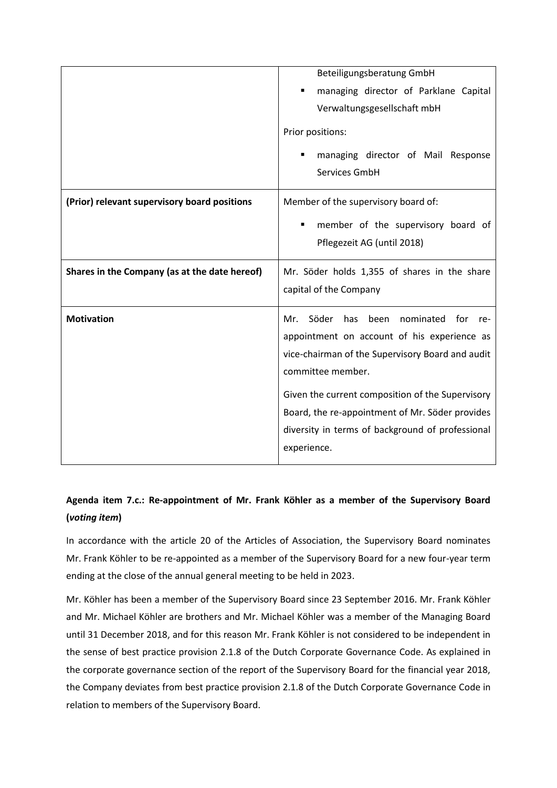|                                               | Beteiligungsberatung GmbH                              |
|-----------------------------------------------|--------------------------------------------------------|
|                                               | managing director of Parklane Capital<br>٠             |
|                                               | Verwaltungsgesellschaft mbH                            |
|                                               | Prior positions:                                       |
|                                               |                                                        |
|                                               | managing director of Mail Response                     |
|                                               | Services GmbH                                          |
|                                               |                                                        |
| (Prior) relevant supervisory board positions  | Member of the supervisory board of:                    |
|                                               | member of the supervisory board of                     |
|                                               | Pflegezeit AG (until 2018)                             |
|                                               |                                                        |
|                                               |                                                        |
| Shares in the Company (as at the date hereof) | Mr. Söder holds 1,355 of shares in the share           |
|                                               | capital of the Company                                 |
|                                               |                                                        |
| <b>Motivation</b>                             | Söder<br>has<br>nominated<br>Mr.<br>been<br>for<br>re- |
|                                               | appointment on account of his experience as            |
|                                               | vice-chairman of the Supervisory Board and audit       |
|                                               | committee member.                                      |
|                                               |                                                        |
|                                               | Given the current composition of the Supervisory       |
|                                               | Board, the re-appointment of Mr. Söder provides        |
|                                               | diversity in terms of background of professional       |
|                                               | experience.                                            |

## **Agenda item 7.c.: Re-appointment of Mr. Frank Köhler as a member of the Supervisory Board (***voting item***)**

In accordance with the article 20 of the Articles of Association, the Supervisory Board nominates Mr. Frank Köhler to be re-appointed as a member of the Supervisory Board for a new four-year term ending at the close of the annual general meeting to be held in 2023.

Mr. Köhler has been a member of the Supervisory Board since 23 September 2016. Mr. Frank Köhler and Mr. Michael Köhler are brothers and Mr. Michael Köhler was a member of the Managing Board until 31 December 2018, and for this reason Mr. Frank Köhler is not considered to be independent in the sense of best practice provision 2.1.8 of the Dutch Corporate Governance Code. As explained in the corporate governance section of the report of the Supervisory Board for the financial year 2018, the Company deviates from best practice provision 2.1.8 of the Dutch Corporate Governance Code in relation to members of the Supervisory Board.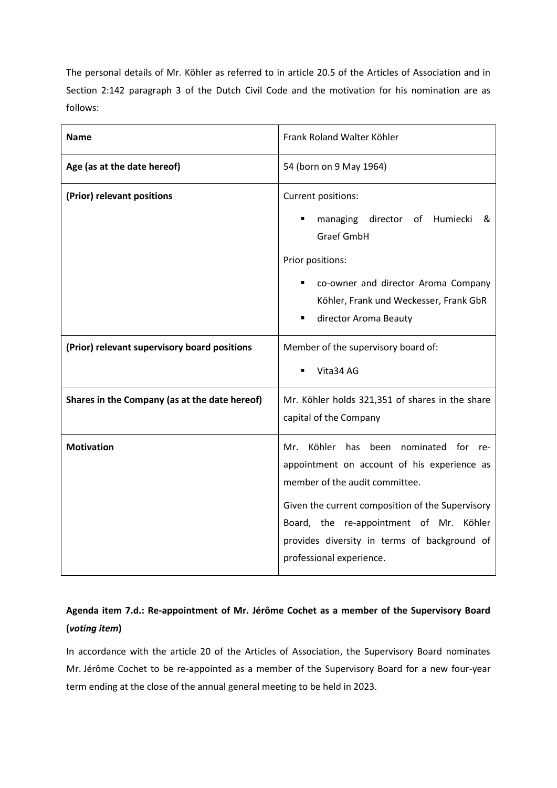The personal details of Mr. Köhler as referred to in article 20.5 of the Articles of Association and in Section 2:142 paragraph 3 of the Dutch Civil Code and the motivation for his nomination are as follows:

| <b>Name</b>                                   | Frank Roland Walter Köhler                                                                                                                                                                                                                                                                                       |
|-----------------------------------------------|------------------------------------------------------------------------------------------------------------------------------------------------------------------------------------------------------------------------------------------------------------------------------------------------------------------|
| Age (as at the date hereof)                   | 54 (born on 9 May 1964)                                                                                                                                                                                                                                                                                          |
| (Prior) relevant positions                    | Current positions:<br>director of Humiecki<br>managing<br>&<br><b>Graef GmbH</b><br>Prior positions:<br>co-owner and director Aroma Company<br>Köhler, Frank und Weckesser, Frank GbR<br>director Aroma Beauty<br>$\blacksquare$                                                                                 |
| (Prior) relevant supervisory board positions  | Member of the supervisory board of:<br>Vita34 AG                                                                                                                                                                                                                                                                 |
| Shares in the Company (as at the date hereof) | Mr. Köhler holds 321,351 of shares in the share<br>capital of the Company                                                                                                                                                                                                                                        |
| <b>Motivation</b>                             | Köhler<br>nominated for<br>Mr.<br>has<br>been<br>re-<br>appointment on account of his experience as<br>member of the audit committee.<br>Given the current composition of the Supervisory<br>Board, the re-appointment of Mr. Köhler<br>provides diversity in terms of background of<br>professional experience. |

## **Agenda item 7.d.: Re-appointment of Mr. Jérôme Cochet as a member of the Supervisory Board (***voting item***)**

In accordance with the article 20 of the Articles of Association, the Supervisory Board nominates Mr. Jérôme Cochet to be re-appointed as a member of the Supervisory Board for a new four-year term ending at the close of the annual general meeting to be held in 2023.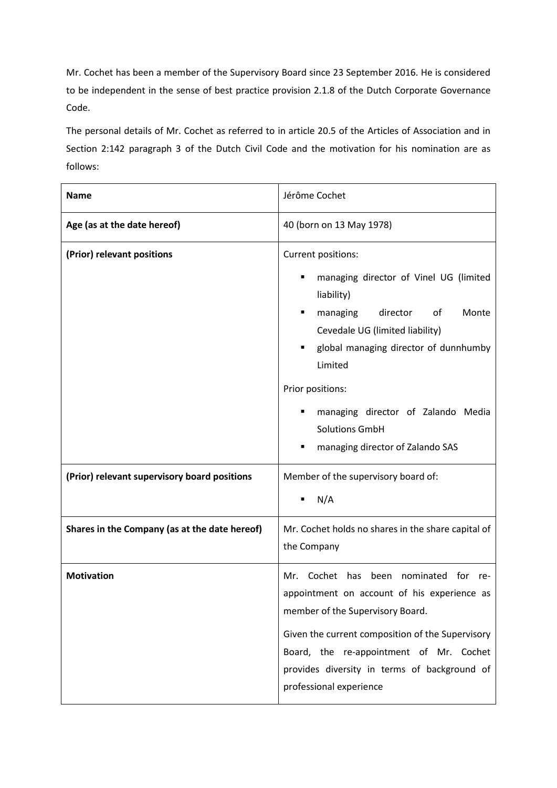Mr. Cochet has been a member of the Supervisory Board since 23 September 2016. He is considered to be independent in the sense of best practice provision 2.1.8 of the Dutch Corporate Governance Code.

The personal details of Mr. Cochet as referred to in article 20.5 of the Articles of Association and in Section 2:142 paragraph 3 of the Dutch Civil Code and the motivation for his nomination are as follows:

| <b>Name</b>                                   | Jérôme Cochet                                                                                                                                                                                                                                                                                                                                          |
|-----------------------------------------------|--------------------------------------------------------------------------------------------------------------------------------------------------------------------------------------------------------------------------------------------------------------------------------------------------------------------------------------------------------|
| Age (as at the date hereof)                   | 40 (born on 13 May 1978)                                                                                                                                                                                                                                                                                                                               |
| (Prior) relevant positions                    | Current positions:<br>managing director of Vinel UG (limited<br>$\blacksquare$<br>liability)<br>director<br>of<br>Monte<br>managing<br>Cevedale UG (limited liability)<br>global managing director of dunnhumby<br>Limited<br>Prior positions:<br>managing director of Zalando Media<br>٠<br><b>Solutions GmbH</b><br>managing director of Zalando SAS |
| (Prior) relevant supervisory board positions  | Member of the supervisory board of:<br>N/A<br>п                                                                                                                                                                                                                                                                                                        |
| Shares in the Company (as at the date hereof) | Mr. Cochet holds no shares in the share capital of<br>the Company                                                                                                                                                                                                                                                                                      |
| <b>Motivation</b>                             | Cochet has<br>been nominated for<br>Mr.<br>re-<br>appointment on account of his experience as<br>member of the Supervisory Board.<br>Given the current composition of the Supervisory<br>Board, the re-appointment of Mr. Cochet<br>provides diversity in terms of background of<br>professional experience                                            |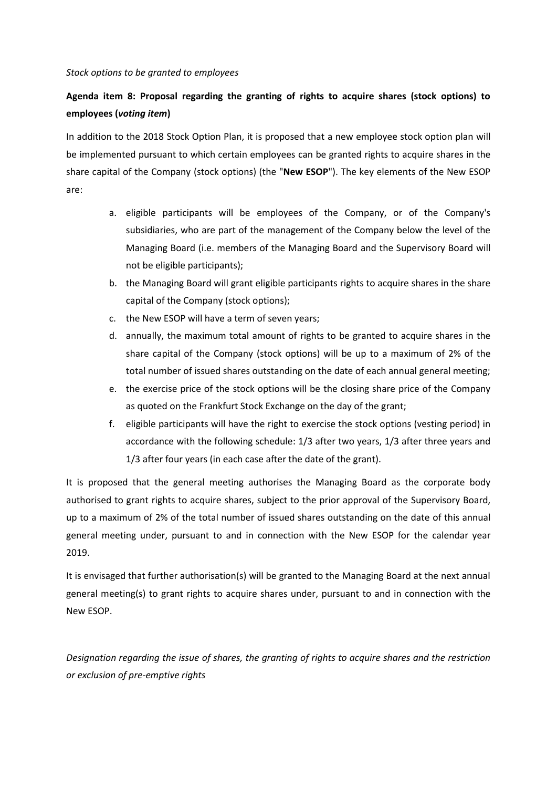#### *Stock options to be granted to employees*

## **Agenda item 8: Proposal regarding the granting of rights to acquire shares (stock options) to employees (***voting item***)**

In addition to the 2018 Stock Option Plan, it is proposed that a new employee stock option plan will be implemented pursuant to which certain employees can be granted rights to acquire shares in the share capital of the Company (stock options) (the "**New ESOP**"). The key elements of the New ESOP are:

- a. eligible participants will be employees of the Company, or of the Company's subsidiaries, who are part of the management of the Company below the level of the Managing Board (i.e. members of the Managing Board and the Supervisory Board will not be eligible participants);
- b. the Managing Board will grant eligible participants rights to acquire shares in the share capital of the Company (stock options);
- c. the New ESOP will have a term of seven years;
- d. annually, the maximum total amount of rights to be granted to acquire shares in the share capital of the Company (stock options) will be up to a maximum of 2% of the total number of issued shares outstanding on the date of each annual general meeting;
- e. the exercise price of the stock options will be the closing share price of the Company as quoted on the Frankfurt Stock Exchange on the day of the grant;
- f. eligible participants will have the right to exercise the stock options (vesting period) in accordance with the following schedule: 1/3 after two years, 1/3 after three years and 1/3 after four years (in each case after the date of the grant).

It is proposed that the general meeting authorises the Managing Board as the corporate body authorised to grant rights to acquire shares, subject to the prior approval of the Supervisory Board, up to a maximum of 2% of the total number of issued shares outstanding on the date of this annual general meeting under, pursuant to and in connection with the New ESOP for the calendar year 2019.

It is envisaged that further authorisation(s) will be granted to the Managing Board at the next annual general meeting(s) to grant rights to acquire shares under, pursuant to and in connection with the New ESOP.

*Designation regarding the issue of shares, the granting of rights to acquire shares and the restriction or exclusion of pre-emptive rights*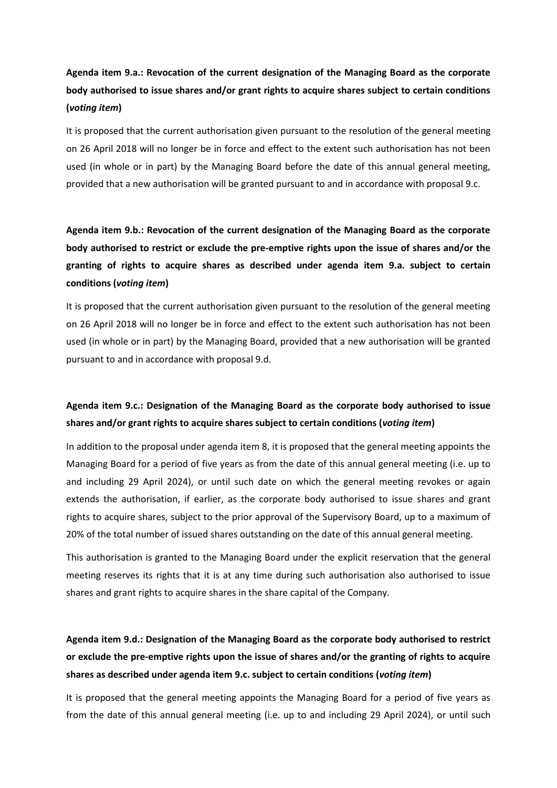## **Agenda item 9.a.: Revocation of the current designation of the Managing Board as the corporate body authorised to issue shares and/or grant rights to acquire shares subject to certain conditions (***voting item***)**

It is proposed that the current authorisation given pursuant to the resolution of the general meeting on 26 April 2018 will no longer be in force and effect to the extent such authorisation has not been used (in whole or in part) by the Managing Board before the date of this annual general meeting, provided that a new authorisation will be granted pursuant to and in accordance with proposal 9.c.

## **Agenda item 9.b.: Revocation of the current designation of the Managing Board as the corporate body authorised to restrict or exclude the pre-emptive rights upon the issue of shares and/or the granting of rights to acquire shares as described under agenda item 9.a. subject to certain conditions (***voting item***)**

It is proposed that the current authorisation given pursuant to the resolution of the general meeting on 26 April 2018 will no longer be in force and effect to the extent such authorisation has not been used (in whole or in part) by the Managing Board, provided that a new authorisation will be granted pursuant to and in accordance with proposal 9.d.

## **Agenda item 9.c.: Designation of the Managing Board as the corporate body authorised to issue shares and/or grant rights to acquire shares subject to certain conditions (***voting item***)**

In addition to the proposal under agenda item 8, it is proposed that the general meeting appoints the Managing Board for a period of five years as from the date of this annual general meeting (i.e. up to and including 29 April 2024), or until such date on which the general meeting revokes or again extends the authorisation, if earlier, as the corporate body authorised to issue shares and grant rights to acquire shares, subject to the prior approval of the Supervisory Board, up to a maximum of 20% of the total number of issued shares outstanding on the date of this annual general meeting.

This authorisation is granted to the Managing Board under the explicit reservation that the general meeting reserves its rights that it is at any time during such authorisation also authorised to issue shares and grant rights to acquire shares in the share capital of the Company.

## **Agenda item 9.d.: Designation of the Managing Board as the corporate body authorised to restrict or exclude the pre-emptive rights upon the issue of shares and/or the granting of rights to acquire shares as described under agenda item 9.c. subject to certain conditions (***voting item***)**

It is proposed that the general meeting appoints the Managing Board for a period of five years as from the date of this annual general meeting (i.e. up to and including 29 April 2024), or until such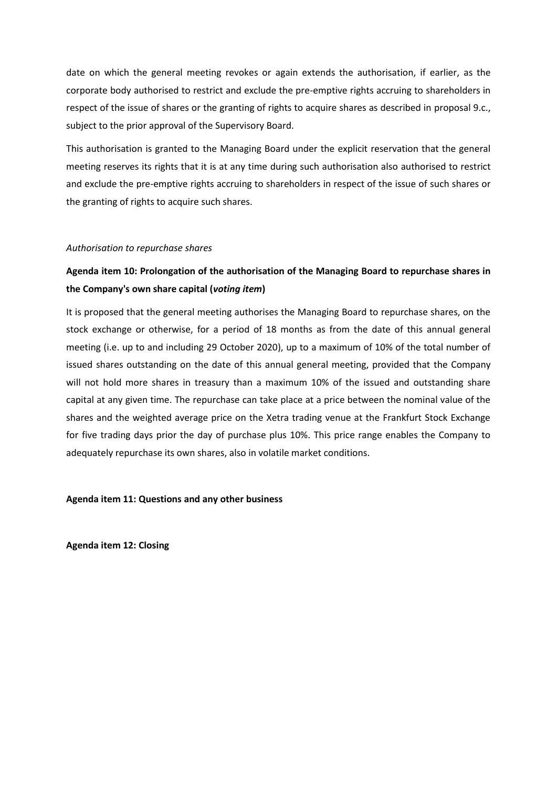date on which the general meeting revokes or again extends the authorisation, if earlier, as the corporate body authorised to restrict and exclude the pre-emptive rights accruing to shareholders in respect of the issue of shares or the granting of rights to acquire shares as described in proposal 9.c., subject to the prior approval of the Supervisory Board.

This authorisation is granted to the Managing Board under the explicit reservation that the general meeting reserves its rights that it is at any time during such authorisation also authorised to restrict and exclude the pre-emptive rights accruing to shareholders in respect of the issue of such shares or the granting of rights to acquire such shares.

### *Authorisation to repurchase shares*

## **Agenda item 10: Prolongation of the authorisation of the Managing Board to repurchase shares in the Company's own share capital (***voting item***)**

It is proposed that the general meeting authorises the Managing Board to repurchase shares, on the stock exchange or otherwise, for a period of 18 months as from the date of this annual general meeting (i.e. up to and including 29 October 2020), up to a maximum of 10% of the total number of issued shares outstanding on the date of this annual general meeting, provided that the Company will not hold more shares in treasury than a maximum 10% of the issued and outstanding share capital at any given time. The repurchase can take place at a price between the nominal value of the shares and the weighted average price on the Xetra trading venue at the Frankfurt Stock Exchange for five trading days prior the day of purchase plus 10%. This price range enables the Company to adequately repurchase its own shares, also in volatile market conditions.

### **Agenda item 11: Questions and any other business**

**Agenda item 12: Closing**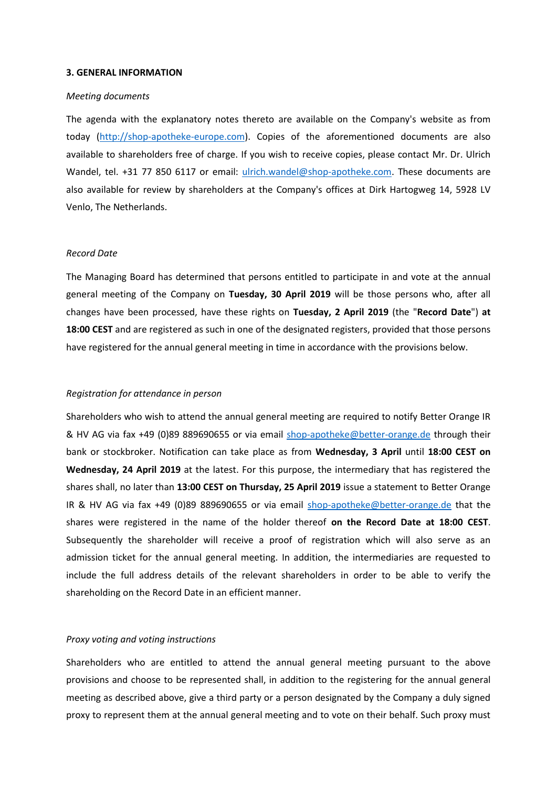#### **3. GENERAL INFORMATION**

#### *Meeting documents*

The agenda with the explanatory notes thereto are available on the Company's website as from today [\(http://shop-apotheke-europe.com\)](http://shop-apotheke-europe.com/). Copies of the aforementioned documents are also available to shareholders free of charge. If you wish to receive copies, please contact Mr. Dr. Ulrich Wandel, tel. +31 77 850 6117 or email: [ulrich.wandel@shop-apotheke.com.](mailto:ulrich.wandel@shop-apotheke.com) These documents are also available for review by shareholders at the Company's offices at Dirk Hartogweg 14, 5928 LV Venlo, The Netherlands.

#### *Record Date*

The Managing Board has determined that persons entitled to participate in and vote at the annual general meeting of the Company on **Tuesday, 30 April 2019** will be those persons who, after all changes have been processed, have these rights on **Tuesday, 2 April 2019** (the "**Record Date**") **at 18:00 CEST** and are registered as such in one of the designated registers, provided that those persons have registered for the annual general meeting in time in accordance with the provisions below.

#### *Registration for attendance in person*

Shareholders who wish to attend the annual general meeting are required to notify Better Orange IR & HV AG via fax +49 (0)89 889690655 or via email [shop-apotheke@better-orange.de](mailto:shop-apotheke@better-orange.de) through their bank or stockbroker. Notification can take place as from **Wednesday, 3 April** until **18:00 CEST on Wednesday, 24 April 2019** at the latest. For this purpose, the intermediary that has registered the shares shall, no later than **13:00 CEST on Thursday, 25 April 2019** issue a statement to Better Orange IR & HV AG via fax +49 (0)89 889690655 or via email [shop-apotheke@better-orange.de](mailto:shop-apotheke@better-orange.de) that the shares were registered in the name of the holder thereof **on the Record Date at 18:00 CEST**. Subsequently the shareholder will receive a proof of registration which will also serve as an admission ticket for the annual general meeting. In addition, the intermediaries are requested to include the full address details of the relevant shareholders in order to be able to verify the shareholding on the Record Date in an efficient manner.

#### *Proxy voting and voting instructions*

Shareholders who are entitled to attend the annual general meeting pursuant to the above provisions and choose to be represented shall, in addition to the registering for the annual general meeting as described above, give a third party or a person designated by the Company a duly signed proxy to represent them at the annual general meeting and to vote on their behalf. Such proxy must